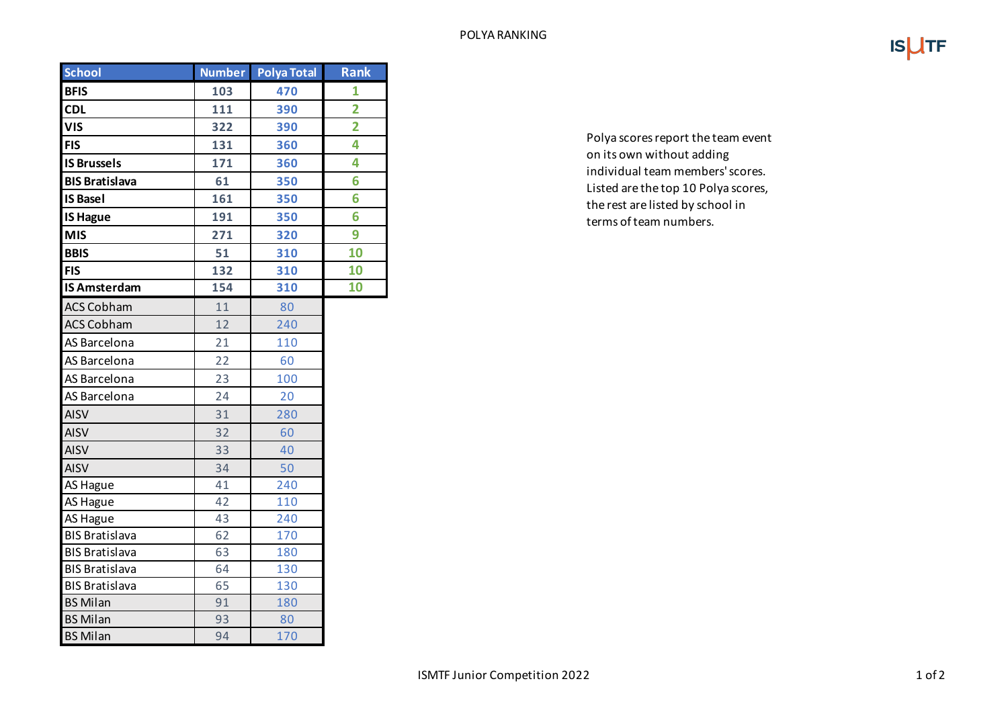|--|--|

| <b>School</b>         | Number | <b>Polya Total</b> | <b>Rank</b>    |
|-----------------------|--------|--------------------|----------------|
| <b>BFIS</b>           | 103    | 470                | 1              |
| <b>CDL</b>            | 111    | 390                | $\overline{2}$ |
| <b>VIS</b>            | 322    | 390                | $\overline{2}$ |
| <b>FIS</b>            | 131    | 360                | 4              |
| <b>IS Brussels</b>    | 171    | 360                | 4              |
| <b>BIS Bratislava</b> | 61     | 350                | 6              |
| <b>IS Basel</b>       | 161    | 350                | 6              |
| <b>IS Hague</b>       | 191    | 350                | 6              |
| <b>MIS</b>            | 271    | 320                | 9              |
| <b>BBIS</b>           | 51     | 310                | 10             |
| <b>FIS</b>            | 132    | 310                | 10             |
| <b>IS Amsterdam</b>   | 154    | 310                | 10             |
| <b>ACS Cobham</b>     | 11     | 80                 |                |
| <b>ACS Cobham</b>     | 12     | 240                |                |
| AS Barcelona          | 21     | 110                |                |
| AS Barcelona          | 22     | 60                 |                |
| AS Barcelona          | 23     | 100                |                |
| AS Barcelona          | 24     | 20                 |                |
| <b>AISV</b>           | 31     | 280                |                |
| <b>AISV</b>           | 32     | 60                 |                |
| <b>AISV</b>           | 33     | 40                 |                |
| <b>AISV</b>           | 34     | 50                 |                |
| AS Hague              | 41     | 240                |                |
| AS Hague              | 42     | 110                |                |
| <b>AS Hague</b>       | 43     | 240                |                |
| <b>BIS Bratislava</b> | 62     | 170                |                |
| <b>BIS Bratislava</b> | 63     | 180                |                |
| <b>BIS Bratislava</b> | 64     | 130                |                |
| <b>BIS Bratislava</b> | 65     | 130                |                |
| <b>BS Milan</b>       | 91     | 180                |                |
| <b>BS Milan</b>       | 93     | 80                 |                |
| <b>BS Milan</b>       | 94     | 170                |                |

Polya scores report the team event on its own without adding individual team members' scores. Listed are the top 10 Polya scores, the rest are listed by school in terms of team numbers.